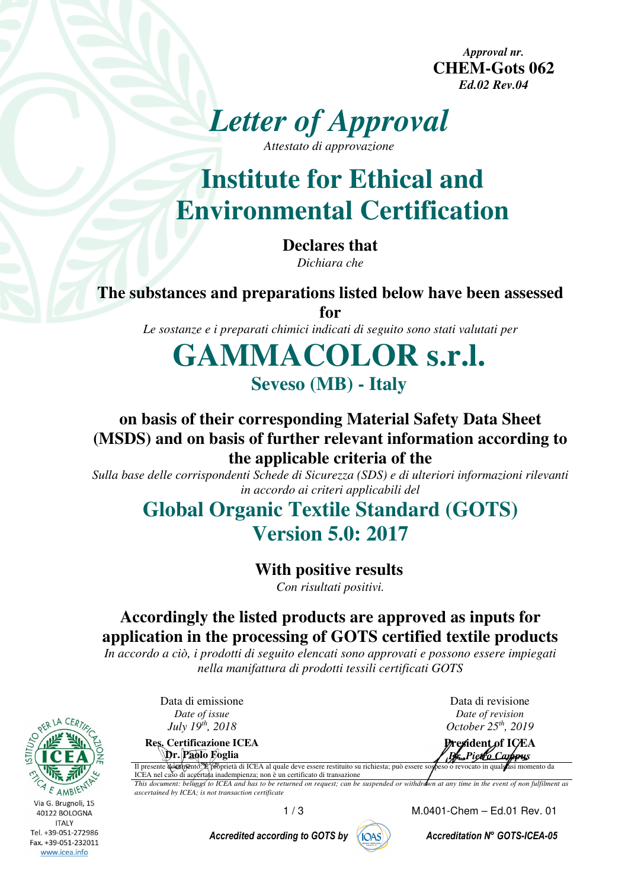*Approval nr.*  **CHEM-Gots 062**  *Ed.02 Rev.04* 



*Attestato di approvazione*

# **Institute for Ethical and Environmental Certification**

**Declares that**  *Dichiara che* 

**The substances and preparations listed below have been assessed** 

**for**  *Le sostanze e i preparati chimici indicati di seguito sono stati valutati per* 

**GAMMACOLOR s.r.l. Seveso (MB) - Italy**

### **on basis of their corresponding Material Safety Data Sheet (MSDS) and on basis of further relevant information according to the applicable criteria of the**

*Sulla base delle corrispondenti Schede di Sicurezza (SDS) e di ulteriori informazioni rilevanti in accordo ai criteri applicabili del* 

## **Global Organic Textile Standard (GOTS) Version 5.0: 2017**

### **With positive results**

*Con risultati positivi.* 

### **Accordingly the listed products are approved as inputs for application in the processing of GOTS certified textile products**

*In accordo a ciò, i prodotti di seguito elencati sono approvati e possono essere impiegati nella manifattura di prodotti tessili certificati GOTS* 

> Data di emissione *Date of issue*

Data di revisione *Date of revision*

PER Via G. Brugnoli, 15 40122 BOLOGNA **ITALY** Tel. +39-051-272986 Fax. +39-051-232011

www.icea.info

| Date of <i>issue</i>                                                                                                                           | <i>Date of revision</i>         |
|------------------------------------------------------------------------------------------------------------------------------------------------|---------------------------------|
| July $19^{th}$ , 2018                                                                                                                          | October 25 <sup>th</sup> , 2019 |
| <b>Res. Certificazione ICEA</b>                                                                                                                | President of ICEA               |
| Dr. Paolo Foglia                                                                                                                               | <b>BrisPierro Carpous</b>       |
| Il presente decamento. E proprietà di ICEA al quale deve essere restituito su richiesta; può essere sospeso o revocato in quals asi momento da |                                 |
| ICEA nel caso di acgertata inadempienza; non è un certificato di transazione                                                                   |                                 |
| This document: belong's to ICEA and has to be returned on request; can be suspended or withdrown at any time in the event of non fulfilment as |                                 |
| ascertained by ICEA; is not transaction certificate                                                                                            |                                 |
|                                                                                                                                                |                                 |

1 / 3 M.0401-Chem – Ed.01 Rev. 01

Accredited according to GOTS by  $\binom{n}{10AS}$  Accreditation N° GOTS-ICEA-05

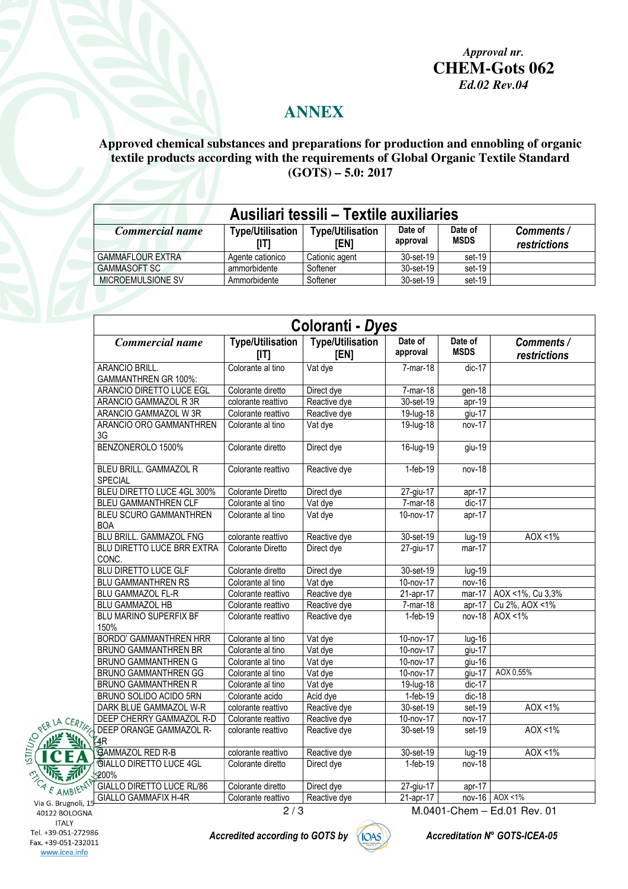*Approval nr.*  **CHEM-Gots 062**  *Ed.02 Rev.04* 

#### **ANNEX**

**Approved chemical substances and preparations for production and ennobling of organic textile products according with the requirements of Global Organic Textile Standard (GOTS) – 5.0: 2017** 

| Ausiliari tessili – Textile auxiliaries |                         |                                 |                     |                        |                            |
|-----------------------------------------|-------------------------|---------------------------------|---------------------|------------------------|----------------------------|
| <b>Commercial name</b>                  | <b>Type/Utilisation</b> | <b>Type/Utilisation</b><br>[EN] | Date of<br>approval | Date of<br><b>MSDS</b> | Comments /<br>restrictions |
| <b>GAMMAFLOUR EXTRA</b>                 | Agente cationico        | Cationic agent                  | 30-set-19           | set-19                 |                            |
| <b>GAMMASOFT SC</b>                     | ammorbidente            | Softener                        | 30-set-19           | set-19                 |                            |
| <b>MICROEMULSIONE SV</b>                | Ammorbidente            | Softener                        | 30-set-19           | set-19                 |                            |

| <b>Coloranti - Dyes</b>                    |                                 |                                 |                     |                        |                            |
|--------------------------------------------|---------------------------------|---------------------------------|---------------------|------------------------|----------------------------|
| Commercial name                            | <b>Type/Utilisation</b><br>[IT] | <b>Type/Utilisation</b><br>[EN] | Date of<br>approval | Date of<br><b>MSDS</b> | Comments /<br>restrictions |
| ARANCIO BRILL.                             | Colorante al tino               | Vat dye                         | $7$ -mar-18         | $dic-17$               |                            |
| <b>GAMMANTHREN GR 100%:</b>                |                                 |                                 |                     |                        |                            |
| ARANCIO DIRETTO LUCE EGL                   | Colorante diretto               | Direct dye                      | 7-mar-18            | gen-18                 |                            |
| ARANCIO GAMMAZOL R 3R                      | colorante reattivo              | Reactive dye                    | 30-set-19           | $apr-19$               |                            |
| ARANCIO GAMMAZOL W 3R                      | Colorante reattivo              | Reactive dye                    | 19-lug-18           | giu-17                 |                            |
| ARANCIO ORO GAMMANTHREN<br>3G              | Colorante al tino               | Vat dye                         | 19-lug-18           | $nov-17$               |                            |
| BENZONEROLO 1500%                          | Colorante diretto               | Direct dye                      | 16-lug-19           | giu-19                 |                            |
| <b>BLEU BRILL. GAMMAZOL R</b><br>SPECIAL   | Colorante reattivo              | Reactive dye                    | $1-feb-19$          | nov-18                 |                            |
| BLEU DIRETTO LUCE 4GL 300%                 | Colorante Diretto               | Direct dye                      | 27-giu-17           | apr-17                 |                            |
| <b>BLEU GAMMANTHREN CLF</b>                | Colorante al tino               | Vat dye                         | $7 - 18$            | $dic-17$               |                            |
| BLEU SCURO GAMMANTHREN<br><b>BOA</b>       | Colorante al tino               | Vat dye                         | 10-nov-17           | apr-17                 |                            |
| BLU BRILL. GAMMAZOL FNG                    | colorante reattivo              | Reactive dye                    | 30-set-19           | lug-19                 | $AOX < 1\%$                |
| <b>BLU DIRETTO LUCE BRR EXTRA</b><br>CONC. | Colorante Diretto               | Direct dye                      | 27-giu-17           | mar-17                 |                            |
| BLU DIRETTO LUCE GLF                       | Colorante diretto               | Direct dye                      | 30-set-19           | lug-19                 |                            |
| <b>BLU GAMMANTHREN RS</b>                  | Colorante al tino               | Vat dye                         | 10-nov-17           | $nov-16$               |                            |
| <b>BLU GAMMAZOL FL-R</b>                   | Colorante reattivo              | Reactive dye                    | 21-apr-17           | mar-17                 | AOX <1%, Cu 3,3%           |
| <b>BLU GAMMAZOL HB</b>                     | Colorante reattivo              | Reactive dye                    | 7-mar-18            | $apr-17$               | Cu 2%, AOX <1%             |
| <b>BLU MARINO SUPERFIX BF</b><br>150%      | Colorante reattivo              | Reactive dye                    | $1-feb-19$          | $nov-18$               | AOX < 1%                   |
| <b>BORDO' GAMMANTHREN HRR</b>              | Colorante al tino               | Vat dye                         | 10-nov-17           | $lug-16$               |                            |
| BRUNO GAMMANTHREN BR                       | Colorante al tino               | Vat dye                         | 10-nov-17           | giu-17                 |                            |
| <b>BRUNO GAMMANTHREN G</b>                 | Colorante al tino               | Vat dye                         | 10-nov-17           | $g$ iu-16              |                            |
| <b>BRUNO GAMMANTHREN GG</b>                | Colorante al tino               | Vat dye                         | 10-nov-17           | giu-17                 | AOX 0,55%                  |
| <b>BRUNO GAMMANTHREN R</b>                 | Colorante al tino               | Vat dye                         | 19-lug-18           | $dic-17$               |                            |
| BRUNO SOLIDO ACIDO 5RN                     | Colorante acido                 | Acid dye                        | $1-feb-19$          | $dic-18$               |                            |
| DARK BLUE GAMMAZOL W-R                     | colorante reattivo              | Reactive dye                    | 30-set-19           | set-19                 | $AOX < 1\%$                |
| DEEP CHERRY GAMMAZOL R-D                   | Colorante reattivo              | Reactive dye                    | 10-nov-17           | nov-17                 |                            |
| DEEP ORANGE GAMMAZOL R-<br>4R              | colorante reattivo              | Reactive dye                    | 30-set-19           | set-19                 | $AOX < 1\%$                |
| GAMMAZOL RED R-B                           | colorante reattivo              | Reactive dye                    | 30-set-19           | lug-19                 | $AOX < 1\%$                |
| <b>GIALLO DIRETTO LUCE 4GL</b><br>:200%    | Colorante diretto               | Direct dye                      | 1-feb-19            | $nov-18$               |                            |
| GIALLO DIRETTO LUCE RL/86                  | Colorante diretto               | Direct dye                      | 27-giu-17           | $apr-17$               |                            |
| GIALLO GAMMAFIX H-4R                       | Colorante reattivo              | Reactive dye                    | 21-apr-17           |                        | nov-16 AOX <1%             |

Via G. Brugnoli, 15 40122 BOLOGNA **ITALY** Tel. +39-051-272986 Fax. +39-051-232011 www.icea.info

PER LA  $CF$ 

> $\mathcal{F}$ AMB



2 / 3 M.0401-Chem – Ed.01 Rev. 01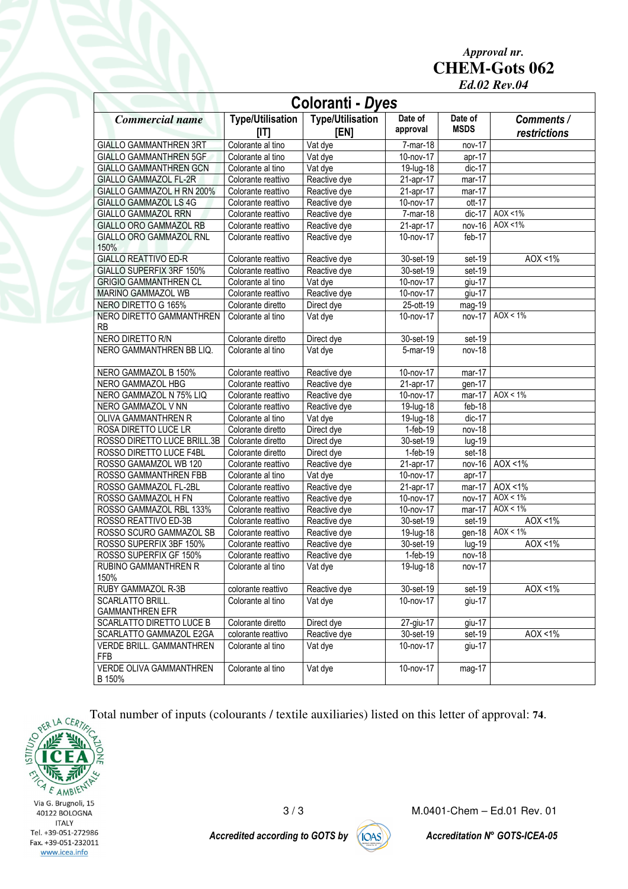*Approval nr.*  **CHEM-Gots 062** 

*Ed.02 Rev.04* 

| Coloranti - Dyes                                  |                                 |                                 |                         |                        |                            |
|---------------------------------------------------|---------------------------------|---------------------------------|-------------------------|------------------------|----------------------------|
| <b>Commercial name</b>                            | <b>Type/Utilisation</b><br>[IT] | <b>Type/Utilisation</b><br>[EN] | Date of<br>approval     | Date of<br><b>MSDS</b> | Comments /<br>restrictions |
| <b>GIALLO GAMMANTHREN 3RT</b>                     | Colorante al tino               | Vat dye                         | 7-mar-18                | nov-17                 |                            |
| <b>GIALLO GAMMANTHREN 5GF</b>                     | Colorante al tino               | $\overline{V}$ at dye           | 10-nov-17               | apr-17                 |                            |
| <b>GIALLO GAMMANTHREN GCN</b>                     | Colorante al tino               | Vat dye                         | 19-lug-18               | $dic-17$               |                            |
| GIALLO GAMMAZOL FL-2R                             | Colorante reattivo              | Reactive dye                    | 21-apr-17               | mar-17                 |                            |
| GIALLO GAMMAZOL H RN 200%                         | Colorante reattivo              | Reactive dye                    | 21-apr-17               | $mar-17$               |                            |
| <b>GIALLO GAMMAZOL LS 4G</b>                      | Colorante reattivo              | Reactive dye                    | 10-nov-17               | $ott-17$               |                            |
| <b>GIALLO GAMMAZOL RRN</b>                        | Colorante reattivo              | Reactive dye                    | 7-mar-18                | $dic-17$               | $AOX < 1\%$                |
| GIALLO ORO GAMMAZOL RB                            | Colorante reattivo              | Reactive dye                    | 21-apr-17               | nov-16                 | AOX <1%                    |
| <b>GIALLO ORO GAMMAZOL RNL</b><br>150%            | Colorante reattivo              | Reactive dye                    | 10-nov-17               | feb-17                 |                            |
| <b>GIALLO REATTIVO ED-R</b>                       | Colorante reattivo              | Reactive dye                    | 30-set-19               | set-19                 | AOX < 1%                   |
| GIALLO SUPERFIX 3RF 150%                          | Colorante reattivo              | Reactive dye                    | 30-set-19               | set-19                 |                            |
| <b>GRIGIO GAMMANTHREN CL</b>                      | Colorante al tino               | Vat dye                         | 10-nov-17               | giu-17                 |                            |
| MARINO GAMMAZOL WB                                | Colorante reattivo              | Reactive dye                    | 10-nov-17               | giu-17                 |                            |
| NERO DIRETTO G 165%                               | Colorante diretto               | Direct dye                      | 25-ott-19               | $mag-19$               |                            |
| NERO DIRETTO GAMMANTHREN<br><b>RB</b>             | Colorante al tino               | Vat dye                         | $\overline{10}$ -nov-17 | nov-17                 | AOX < 1%                   |
| NERO DIRETTO R/N                                  | Colorante diretto               | Direct dye                      | 30-set-19               | set-19                 |                            |
| NERO GAMMANTHREN BB LIQ.                          | Colorante al tino               | Vat dye                         | 5-mar-19                | nov-18                 |                            |
| NERO GAMMAZOL B 150%                              | Colorante reattivo              | Reactive dye                    | 10-nov-17               | mar-17                 |                            |
| NERO GAMMAZOL HBG                                 | Colorante reattivo              | Reactive dye                    | 21-apr-17               | gen-17                 |                            |
| NERO GAMMAZOL N 75% LIQ                           | Colorante reattivo              | Reactive dye                    | 10-nov-17               | $mar-17$               | AOX < 1%                   |
| NERO GAMMAZOL V NN                                | Colorante reattivo              | Reactive dye                    | 19-lug-18               | feb-18                 |                            |
| OLIVA GAMMANTHREN R                               | Colorante al tino               | Vat dye                         | 19-lug-18               | $dic-17$               |                            |
| ROSA DIRETTO LUCE LR                              | Colorante diretto               | Direct dye                      | $1-feb-19$              | $nov-18$               |                            |
| ROSSO DIRETTO LUCE BRILL.3B                       | Colorante diretto               | Direct dye                      | 30-set-19               | $Iug-19$               |                            |
| ROSSO DIRETTO LUCE F4BL                           | Colorante diretto               | Direct dye                      | 1-feb-19                | set-18                 |                            |
| ROSSO GAMAMZOL WB 120                             | Colorante reattivo              | Reactive dye                    | 21-apr-17               | nov-16                 | $AOX < 1\%$                |
| ROSSO GAMMANTHREN FBB                             | Colorante al tino               | Vat dye                         | 10-nov-17               | apr- $1\overline{7}$   |                            |
| ROSSO GAMMAZOL FL-2BL                             | Colorante reattivo              | Reactive dye                    | 21-apr-17               | $mar-17$               | $AOX < 1\%$                |
| ROSSO GAMMAZOL H FN                               | Colorante reattivo              | Reactive dye                    | 10-nov-17               | nov-17                 | $AOX < 1\%$                |
| ROSSO GAMMAZOL RBL 133%                           | Colorante reattivo              | Reactive dye                    | 10-nov-17               | mar-17                 | $AOX < 1\%$                |
| ROSSO REATTIVO ED-3B                              | Colorante reattivo              | Reactive dye                    | $30$ -set-19            | set-19                 | AOX <1%<br>AOX < 1%        |
| ROSSO SCURO GAMMAZOL SB                           | Colorante reattivo              | Reactive dye                    | 19-lug-18               | $gen-18$               |                            |
| ROSSO SUPERFIX 3BF 150%                           | Colorante reattivo              | Reactive dye                    | 30-set-19               | $lug-19$               | AOX <1%                    |
| ROSSO SUPERFIX GF 150%                            | Colorante reattivo              | Reactive dye                    | 1-feb-19                | $nov-18$               |                            |
| RUBINO GAMMANTHREN R<br>150%                      | Colorante al tino               | Vat dye                         | 19-lug-18               | nov-17                 |                            |
| RUBY GAMMAZOL R-3B                                | colorante reattivo              | Reactive dye                    | 30-set-19               | set-19                 | $AOX < 1\%$                |
| <b>SCARLATTO BRILL.</b><br><b>GAMMANTHREN EFR</b> | Colorante al tino               | Vat dye                         | 10-nov-17               | giu-17                 |                            |
| SCARLATTO DIRETTO LUCE B                          | Colorante diretto               | Direct dye                      | 27-giu-17               | giu-17                 |                            |
| SCARLATTO GAMMAZOL E2GA                           | colorante reattivo              | Reactive dye                    | 30-set-19               | set-19                 | $AOX < 1\%$                |
| VERDE BRILL. GAMMANTHREN<br><b>FFB</b>            | Colorante al tino               | Vat dye                         | 10-nov-17               | $g$ iu-17              |                            |
| VERDE OLIVA GAMMANTHREN<br>B 150%                 | Colorante al tino               | Vat dye                         | 10-nov-17               | mag-17                 |                            |

Total number of inputs (colourants / textile auxiliaries) listed on this letter of approval: **74**.



Accredited according to GOTS by  $\left\langle \sim \right\rangle$  Accreditation N° GOTS-ICEA-05